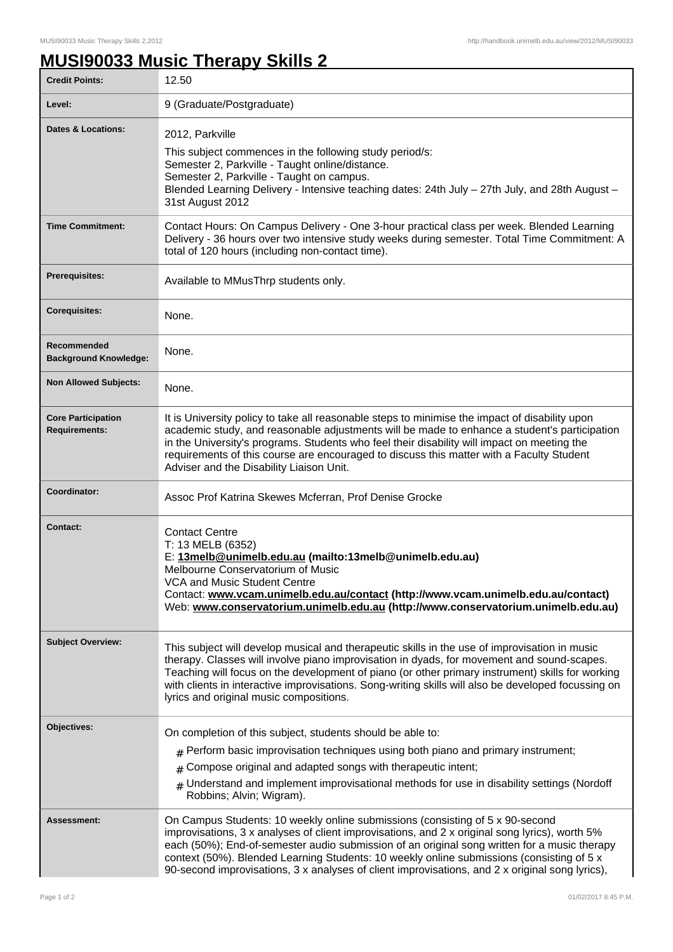## **MUSI90033 Music Therapy Skills 2**

| <b>Credit Points:</b>                             | 12.50                                                                                                                                                                                                                                                                                                                                                                                                                                                                           |
|---------------------------------------------------|---------------------------------------------------------------------------------------------------------------------------------------------------------------------------------------------------------------------------------------------------------------------------------------------------------------------------------------------------------------------------------------------------------------------------------------------------------------------------------|
| Level:                                            | 9 (Graduate/Postgraduate)                                                                                                                                                                                                                                                                                                                                                                                                                                                       |
| Dates & Locations:                                | 2012, Parkville<br>This subject commences in the following study period/s:<br>Semester 2, Parkville - Taught online/distance.<br>Semester 2, Parkville - Taught on campus.<br>Blended Learning Delivery - Intensive teaching dates: 24th July - 27th July, and 28th August -<br>31st August 2012                                                                                                                                                                                |
| <b>Time Commitment:</b>                           | Contact Hours: On Campus Delivery - One 3-hour practical class per week. Blended Learning<br>Delivery - 36 hours over two intensive study weeks during semester. Total Time Commitment: A<br>total of 120 hours (including non-contact time).                                                                                                                                                                                                                                   |
| <b>Prerequisites:</b>                             | Available to MMusThrp students only.                                                                                                                                                                                                                                                                                                                                                                                                                                            |
| <b>Corequisites:</b>                              | None.                                                                                                                                                                                                                                                                                                                                                                                                                                                                           |
| Recommended<br><b>Background Knowledge:</b>       | None.                                                                                                                                                                                                                                                                                                                                                                                                                                                                           |
| <b>Non Allowed Subjects:</b>                      | None.                                                                                                                                                                                                                                                                                                                                                                                                                                                                           |
| <b>Core Participation</b><br><b>Requirements:</b> | It is University policy to take all reasonable steps to minimise the impact of disability upon<br>academic study, and reasonable adjustments will be made to enhance a student's participation<br>in the University's programs. Students who feel their disability will impact on meeting the<br>requirements of this course are encouraged to discuss this matter with a Faculty Student<br>Adviser and the Disability Liaison Unit.                                           |
| Coordinator:                                      | Assoc Prof Katrina Skewes Mcferran, Prof Denise Grocke                                                                                                                                                                                                                                                                                                                                                                                                                          |
| <b>Contact:</b>                                   | <b>Contact Centre</b><br>T: 13 MELB (6352)<br>E: 13melb@unimelb.edu.au (mailto:13melb@unimelb.edu.au)<br>Melbourne Conservatorium of Music<br><b>VCA and Music Student Centre</b><br>Contact: www.vcam.unimelb.edu.au/contact (http://www.vcam.unimelb.edu.au/contact)<br>Web: www.conservatorium.unimelb.edu.au (http://www.conservatorium.unimelb.edu.au)                                                                                                                     |
| <b>Subject Overview:</b>                          | This subject will develop musical and therapeutic skills in the use of improvisation in music<br>therapy. Classes will involve piano improvisation in dyads, for movement and sound-scapes.<br>Teaching will focus on the development of piano (or other primary instrument) skills for working<br>with clients in interactive improvisations. Song-writing skills will also be developed focussing on<br>lyrics and original music compositions.                               |
| Objectives:                                       | On completion of this subject, students should be able to:<br>$_{\text{\#}}$ Perform basic improvisation techniques using both piano and primary instrument;<br>Compose original and adapted songs with therapeutic intent;<br>#<br>Understand and implement improvisational methods for use in disability settings (Nordoff<br>Robbins; Alvin; Wigram).                                                                                                                        |
| Assessment:                                       | On Campus Students: 10 weekly online submissions (consisting of 5 x 90-second<br>improvisations, 3 x analyses of client improvisations, and 2 x original song lyrics), worth 5%<br>each (50%); End-of-semester audio submission of an original song written for a music therapy<br>context (50%). Blended Learning Students: 10 weekly online submissions (consisting of 5 x<br>90-second improvisations, 3 x analyses of client improvisations, and 2 x original song lyrics), |